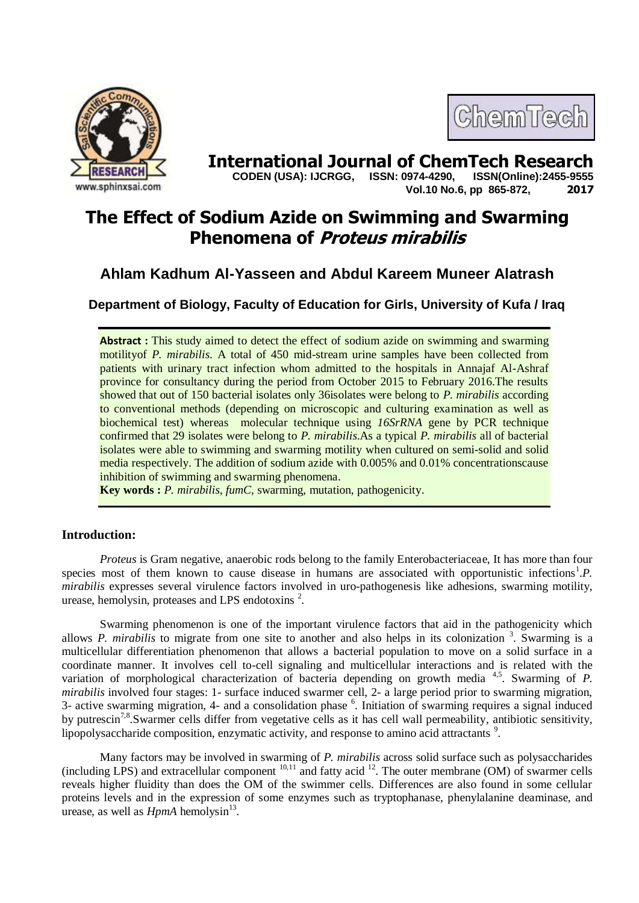



**International Journal of ChemTech Research copen (USA): IJCRGG.** ISSN: 0974-4290. ISSN(Online):2455-9555  **CODEN (USA): IJCRGG, ISSN: 0974-4290, Vol.10 No.6, pp 865-872, 2017**

# **The Effect of Sodium Azide on Swimming and Swarming Phenomena of Proteus mirabilis**

# **Ahlam Kadhum Al-Yasseen and Abdul Kareem Muneer Alatrash**

**Department of Biology, Faculty of Education for Girls, University of Kufa / Iraq**

**Abstract** : This study aimed to detect the effect of sodium azide on swimming and swarming motilityof *P. mirabilis*. A total of 450 mid-stream urine samples have been collected from patients with urinary tract infection whom admitted to the hospitals in Annajaf Al-Ashraf province for consultancy during the period from October 2015 to February 2016.The results showed that out of 150 bacterial isolates only 36isolates were belong to *P. mirabilis* according to conventional methods (depending on microscopic and culturing examination as well as biochemical test) whereas molecular technique using *16SrRNA* gene by PCR technique confirmed that 29 isolates were belong to *P. mirabilis*.As a typical *P. mirabilis* all of bacterial isolates were able to swimming and swarming motility when cultured on semi-solid and solid media respectively. The addition of sodium azide with 0.005% and 0.01% concentrationscause inhibition of swimming and swarming phenomena.

**Key words :** *P. mirabilis*, *fumC*, swarming, mutation, pathogenicity.

# **Introduction:**

*Proteus* is Gram negative, anaerobic rods belong to the family Enterobacteriaceae, It has more than four species most of them known to cause disease in humans are associated with opportunistic infections<sup>1</sup>.P. *mirabilis* expresses several virulence factors involved in uro-pathogenesis like adhesions, swarming motility, urease, hemolysin, proteases and LPS endotoxins<sup>2</sup>.

Swarming phenomenon is one of the important virulence factors that aid in the pathogenicity which allows *P. mirabilis* to migrate from one site to another and also helps in its colonization <sup>3</sup>. Swarming is a multicellular differentiation phenomenon that allows a bacterial population to move on a solid surface in a coordinate manner. It involves cell to-cell signaling and multicellular interactions and is related with the variation of morphological characterization of bacteria depending on growth media <sup>4,5</sup>. Swarming of *P*. *mirabilis* involved four stages: 1- surface induced swarmer cell, 2- a large period prior to swarming migration, 3- active swarming migration, 4- and a consolidation phase <sup>6</sup>. Initiation of swarming requires a signal induced by putrescin<sup>7,8</sup>. Swarmer cells differ from vegetative cells as it has cell wall permeability, antibiotic sensitivity, lipopolysaccharide composition, enzymatic activity, and response to amino acid attractants<sup>9</sup>.

Many factors may be involved in swarming of *P. mirabilis* across solid surface such as polysaccharides (including LPS) and extracellular component  $10,11$  and fatty acid  $12$ . The outer membrane (OM) of swarmer cells reveals higher fluidity than does the OM of the swimmer cells. Differences are also found in some cellular proteins levels and in the expression of some enzymes such as tryptophanase, phenylalanine deaminase, and urease, as well as  $HpmA$  hemolysin<sup>13</sup>.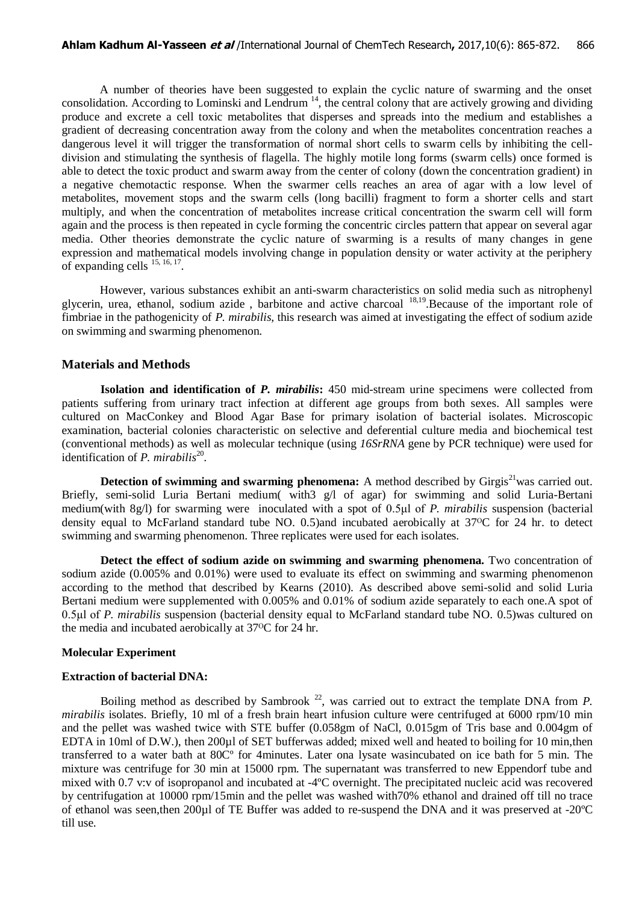A number of theories have been suggested to explain the cyclic nature of swarming and the onset consolidation. According to Lominski and Lendrum <sup>14</sup>, the central colony that are actively growing and dividing produce and excrete a cell toxic metabolites that disperses and spreads into the medium and establishes a gradient of decreasing concentration away from the colony and when the metabolites concentration reaches a dangerous level it will trigger the transformation of normal short cells to swarm cells by inhibiting the celldivision and stimulating the synthesis of flagella. The highly motile long forms (swarm cells) once formed is able to detect the toxic product and swarm away from the center of colony (down the concentration gradient) in a negative chemotactic response. When the swarmer cells reaches an area of agar with a low level of metabolites, movement stops and the swarm cells (long bacilli) fragment to form a shorter cells and start multiply, and when the concentration of metabolites increase critical concentration the swarm cell will form again and the process is then repeated in cycle forming the concentric circles pattern that appear on several agar media. Other theories demonstrate the cyclic nature of swarming is a results of many changes in gene expression and mathematical models involving change in population density or water activity at the periphery of expanding cells  $^{15, 16, 17}$ .

However, various substances exhibit an anti-swarm characteristics on solid media such as nitrophenyl glycerin, urea, ethanol, sodium azide, barbitone and active charcoal <sup>18,19</sup>. Because of the important role of fimbriae in the pathogenicity of *P. mirabilis,* this research was aimed at investigating the effect of sodium azide on swimming and swarming phenomenon.

#### **Materials and Methods**

**Isolation and identification of** *P. mirabilis***:** 450 mid-stream urine specimens were collected from patients suffering from urinary tract infection at different age groups from both sexes. All samples were cultured on MacConkey and Blood Agar Base for primary isolation of bacterial isolates. Microscopic examination, bacterial colonies characteristic on selective and deferential culture media and biochemical test (conventional methods) as well as molecular technique (using *16SrRNA* gene by PCR technique) were used for identification of *P. mirabilis*<sup>20</sup>.

**Detection of swimming and swarming phenomena:** A method described by Girgis<sup>21</sup>was carried out. Briefly, semi-solid Luria Bertani medium( with3 g/l of agar) for swimming and solid Luria-Bertani medium(with 8g/l) for swarming were inoculated with a spot of 0.5μl of *P. mirabilis* suspension (bacterial density equal to McFarland standard tube NO. 0.5)and incubated aerobically at  $37^{\circ}$ C for 24 hr. to detect swimming and swarming phenomenon. Three replicates were used for each isolates.

**Detect the effect of sodium azide on swimming and swarming phenomena.** Two concentration of sodium azide (0.005% and 0.01%) were used to evaluate its effect on swimming and swarming phenomenon according to the method that described by Kearns (2010). As described above semi-solid and solid Luria Bertani medium were supplemented with 0.005% and 0.01% of sodium azide separately to each one.A spot of 0.5μl of *P. mirabilis* suspension (bacterial density equal to McFarland standard tube NO. 0.5)was cultured on the media and incubated aerobically at  $37^{\circ}$ C for 24 hr.

#### **Molecular Experiment**

#### **Extraction of bacterial DNA:**

Boiling method as described by Sambrook<sup>22</sup>, was carried out to extract the template DNA from  $P$ . *mirabilis* isolates. Briefly, 10 ml of a fresh brain heart infusion culture were centrifuged at 6000 rpm/10 min and the pellet was washed twice with STE buffer (0.058gm of NaCl, 0.015gm of Tris base and 0.004gm of EDTA in 10ml of D.W.), then 200µl of SET bufferwas added; mixed well and heated to boiling for 10 min, then transferred to a water bath at 80Cº for 4minutes. Later ona lysate wasincubated on ice bath for 5 min. The mixture was centrifuge for 30 min at 15000 rpm. The supernatant was transferred to new Eppendorf tube and mixed with 0.7 v:v of isopropanol and incubated at -4ºC overnight. The precipitated nucleic acid was recovered by centrifugation at 10000 rpm/15min and the pellet was washed with70% ethanol and drained off till no trace of ethanol was seen,then 200µl of TE Buffer was added to re-suspend the DNA and it was preserved at -20ºC till use.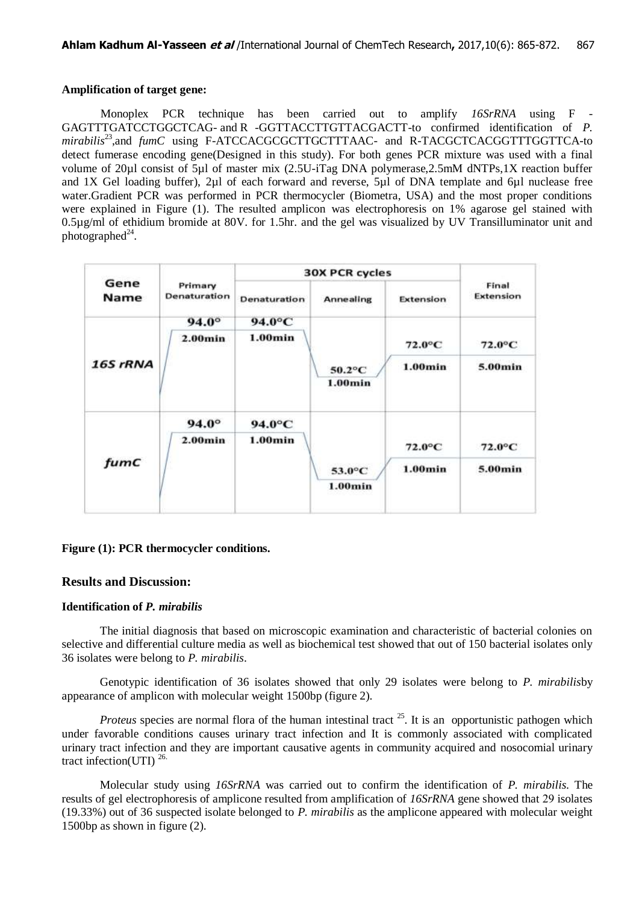### **Amplification of target gene:**

Monoplex PCR technique has been carried out to amplify *16SrRNA* using F - GAGTTTGATCCTGGCTCAG- and R -GGTTACCTTGTTACGACTT-to confirmed identification of *P.*  mirabilis<sup>23</sup>, and *fumC* using F-ATCCACGCGCTTGCTTTAAC- and R-TACGCTCACGGTTTGGTTCA-to detect fumerase encoding gene(Designed in this study). For both genes PCR mixture was used with a final volume of 20µl consist of 5µl of master mix (2.5U-iTag DNA polymerase,2.5mM dNTPs,1X reaction buffer and 1X Gel loading buffer), 2µl of each forward and reverse, 5µl of DNA template and 6µl nuclease free water.Gradient PCR was performed in PCR thermocycler (Biometra, USA) and the most proper conditions were explained in Figure (1). The resulted amplicon was electrophoresis on 1% agarose gel stained with 0.5µg/ml of ethidium bromide at 80V. for 1.5hr. and the gel was visualized by UV Transilluminator unit and photographed $^{24}$ .

| Gene<br>Name | Primary<br>Denaturation | <b>30X PCR cycles</b> |                   |                  |                    |
|--------------|-------------------------|-----------------------|-------------------|------------------|--------------------|
|              |                         | Denaturation          | Annealing         | Extension        | Final<br>Extension |
| 16S rRNA     | $94.0^\circ$            | 94.0°C                | 50.2°C<br>1.00min | $72.0^{\circ}$ C | $72.0^{\circ}$ C   |
|              | $2.00$ min              | 1.00min               |                   |                  |                    |
|              |                         |                       |                   | 1.00min          | 5.00min            |
| fumC         | $94.0^\circ$            | 94.0°C                |                   |                  |                    |
|              | $2.00$ min              | 1.00min               |                   | $72.0^{\circ}$ C | $72.0^{\circ}$ C   |
|              |                         |                       | 53.0°C<br>1.00min | $1.00$ min       | 5.00min            |

### **Figure (1): PCR thermocycler conditions.**

### **Results and Discussion:**

### **Identification of** *P. mirabilis*

The initial diagnosis that based on microscopic examination and characteristic of bacterial colonies on selective and differential culture media as well as biochemical test showed that out of 150 bacterial isolates only 36 isolates were belong to *P. mirabilis*.

Genotypic identification of 36 isolates showed that only 29 isolates were belong to *P. mirabilis*by appearance of amplicon with molecular weight 1500bp (figure 2).

*Proteus* species are normal flora of the human intestinal tract  $^{25}$ . It is an opportunistic pathogen which under favorable conditions causes urinary tract infection and It is commonly associated with complicated urinary tract infection and they are important causative agents in community acquired and nosocomial urinary tract infection(UTI) 26.

Molecular study using *16SrRNA* was carried out to confirm the identification of *P. mirabilis*. The results of gel electrophoresis of amplicone resulted from amplification of *16SrRNA* gene showed that 29 isolates (19.33%) out of 36 suspected isolate belonged to *P. mirabilis* as the amplicone appeared with molecular weight 1500bp as shown in figure (2).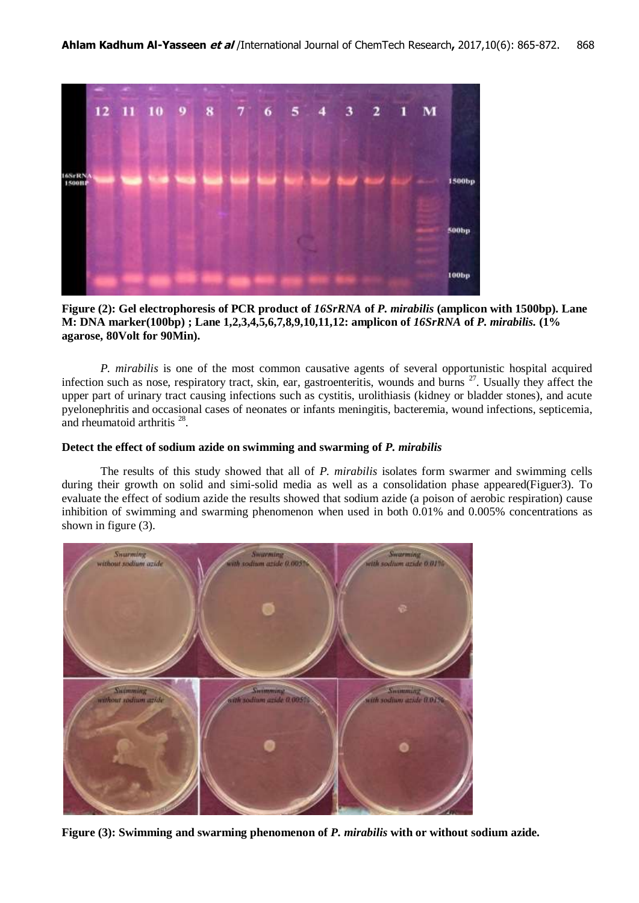

**Figure (2): Gel electrophoresis of PCR product of** *16SrRNA* **of** *P. mirabilis* **(amplicon with 1500bp). Lane M: DNA marker(100bp) ; Lane 1,2,3,4,5,6,7,8,9,10,11,12: amplicon of** *16SrRNA* **of** *P. mirabilis.* **(1% agarose, 80Volt for 90Min).**

*P. mirabilis* is one of the most common causative agents of several opportunistic hospital acquired infection such as nose, respiratory tract, skin, ear, gastroenteritis, wounds and burns <sup>27</sup>. Usually they affect the upper part of urinary tract causing infections such as cystitis, urolithiasis (kidney or bladder stones), and acute pyelonephritis and occasional cases of neonates or infants meningitis, bacteremia, wound infections, septicemia, and rheumatoid arthritis  $28$ .

#### **Detect the effect of sodium azide on swimming and swarming of** *P. mirabilis*

The results of this study showed that all of *P. mirabilis* isolates form swarmer and swimming cells during their growth on solid and simi-solid media as well as a consolidation phase appeared(Figuer3). To evaluate the effect of sodium azide the results showed that sodium azide (a poison of aerobic respiration) cause inhibition of swimming and swarming phenomenon when used in both 0.01% and 0.005% concentrations as shown in figure (3).



**Figure (3): Swimming and swarming phenomenon of** *P. mirabilis* **with or without sodium azide.**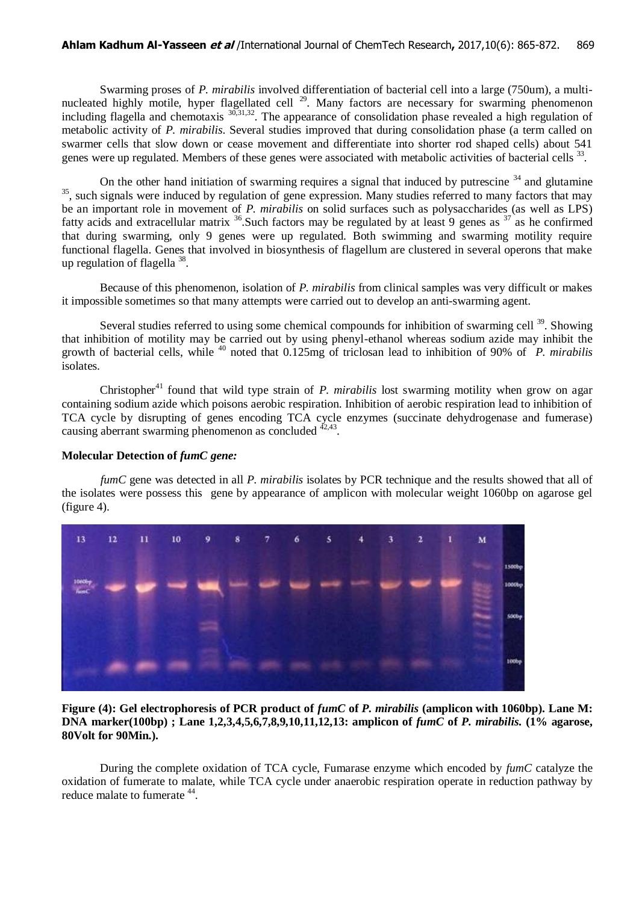Swarming proses of *P. mirabilis* involved differentiation of bacterial cell into a large (750um), a multinucleated highly motile, hyper flagellated cell <sup>29</sup>. Many factors are necessary for swarming phenomenon including flagella and chemotaxis <sup>30,31,32</sup>. The appearance of consolidation phase revealed a high regulation of metabolic activity of *P. mirabilis*. Several studies improved that during consolidation phase (a term called on swarmer cells that slow down or cease movement and differentiate into shorter rod shaped cells) about 541 genes were up regulated. Members of these genes were associated with metabolic activities of bacterial cells <sup>33</sup>.

On the other hand initiation of swarming requires a signal that induced by putrescine  $34$  and glutamine <sup>35</sup>, such signals were induced by regulation of gene expression. Many studies referred to many factors that may be an important role in movement of *P. mirabilis* on solid surfaces such as polysaccharides (as well as LPS) fatty acids and extracellular matrix  $36$ . Such factors may be regulated by at least 9 genes as  $37$  as he confirmed that during swarming, only 9 genes were up regulated. Both swimming and swarming motility require functional flagella. Genes that involved in biosynthesis of flagellum are clustered in several operons that make up regulation of flagella <sup>38</sup>.

Because of this phenomenon, isolation of *P. mirabilis* from clinical samples was very difficult or makes it impossible sometimes so that many attempts were carried out to develop an anti-swarming agent.

Several studies referred to using some chemical compounds for inhibition of swarming cell <sup>39</sup>. Showing that inhibition of motility may be carried out by using phenyl-ethanol whereas sodium azide may inhibit the growth of bacterial cells, while <sup>40</sup> noted that 0.125mg of triclosan lead to inhibition of 90% of *P. mirabilis* isolates.

Christopher<sup>41</sup> found that wild type strain of *P. mirabilis* lost swarming motility when grow on agar containing sodium azide which poisons aerobic respiration. Inhibition of aerobic respiration lead to inhibition of TCA cycle by disrupting of genes encoding TCA cycle enzymes (succinate dehydrogenase and fumerase) causing aberrant swarming phenomenon as concluded  $42,43$ .

#### **Molecular Detection of** *fumC gene:*

*fumC* gene was detected in all *P. mirabilis* isolates by PCR technique and the results showed that all of the isolates were possess this gene by appearance of amplicon with molecular weight 1060bp on agarose gel (figure 4).



**Figure (4): Gel electrophoresis of PCR product of** *fumC* **of** *P. mirabilis* **(amplicon with 1060bp). Lane M: DNA marker(100bp) ; Lane 1,2,3,4,5,6,7,8,9,10,11,12,13: amplicon of** *fumC* **of** *P. mirabilis.* **(1% agarose, 80Volt for 90Min.).**

During the complete oxidation of TCA cycle, Fumarase enzyme which encoded by *fumC* catalyze the oxidation of fumerate to malate, while TCA cycle under anaerobic respiration operate in reduction pathway by reduce malate to fumerate <sup>44</sup>.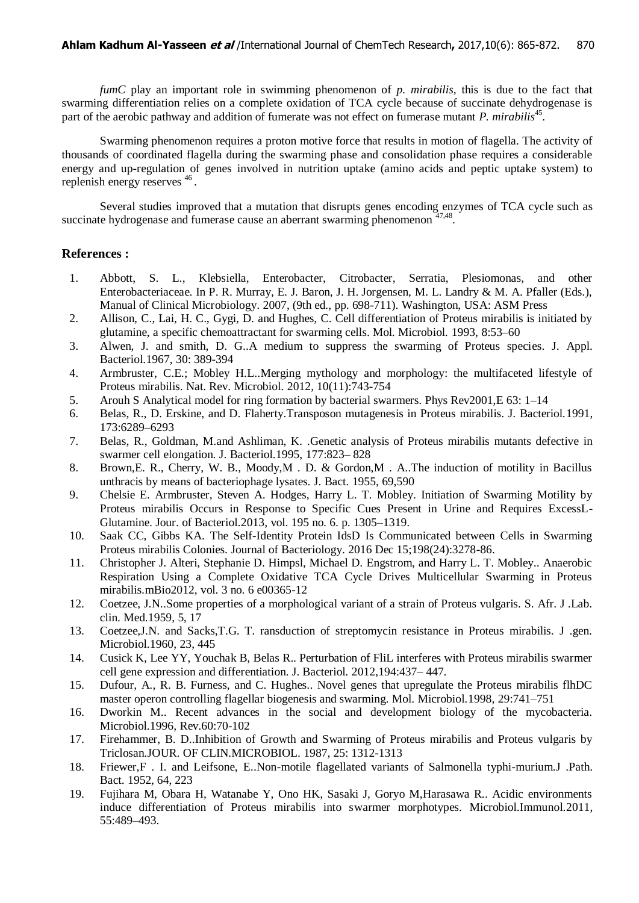*fumC* play an important role in swimming phenomenon of *p. mirabilis*, this is due to the fact that swarming differentiation relies on a complete oxidation of TCA cycle because of succinate dehydrogenase is part of the aerobic pathway and addition of fumerate was not effect on fumerase mutant *P. mirabilis*<sup>45</sup>.

Swarming phenomenon requires a proton motive force that results in motion of flagella. The activity of thousands of coordinated flagella during the swarming phase and consolidation phase requires a considerable energy and up-regulation of genes involved in nutrition uptake (amino acids and peptic uptake system) to replenish energy reserves <sup>46</sup>.

Several studies improved that a mutation that disrupts genes encoding enzymes of TCA cycle such as succinate hydrogenase and fumerase cause an aberrant swarming phenomenon  $47,48$ .

## **References :**

- 1. Abbott, S. L., Klebsiella, Enterobacter, Citrobacter, Serratia, Plesiomonas, and other Enterobacteriaceae. In P. R. Murray, E. J. Baron, J. H. Jorgensen, M. L. Landry & M. A. Pfaller (Eds.), Manual of Clinical Microbiology. 2007, (9th ed., pp. 698-711). Washington, USA: ASM Press
- 2. Allison, C., Lai, H. C., Gygi, D. and Hughes, C. Cell differentiation of Proteus mirabilis is initiated by glutamine, a specific chemoattractant for swarming cells. Mol. Microbiol. 1993, 8:53–60
- 3. Alwen, J. and smith, D. G..A medium to suppress the swarming of Proteus species. J. Appl. Bacteriol.1967, 30: 389-394
- 4. Armbruster, C.E.; Mobley H.L..Merging mythology and morphology: the multifaceted lifestyle of Proteus mirabilis. Nat. Rev. Microbiol. 2012, 10(11):743-754
- 5. Arouh S Analytical model for ring formation by bacterial swarmers. Phys Rev2001,E 63: 1–14
- 6. Belas, R., D. Erskine, and D. Flaherty.Transposon mutagenesis in Proteus mirabilis. J. Bacteriol.1991, 173:6289–6293
- 7. Belas, R., Goldman, M.and Ashliman, K. .Genetic analysis of Proteus mirabilis mutants defective in swarmer cell elongation. J. Bacteriol.1995, 177:823– 828
- 8. Brown,E. R., Cherry, W. B., Moody,M . D. & Gordon,M . A..The induction of motility in Bacillus unthracis by means of bacteriophage lysates. J. Bact. 1955, 69,590
- 9. Chelsie E. Armbruster, Steven A. Hodges, Harry L. T. Mobley. Initiation of Swarming Motility by Proteus mirabilis Occurs in Response to Specific Cues Present in Urine and Requires ExcessL-Glutamine. Jour. of Bacteriol.2013, vol. 195 no. 6. p. 1305–1319.
- 10. Saak CC, Gibbs KA. The Self-Identity Protein IdsD Is Communicated between Cells in Swarming Proteus mirabilis Colonies. Journal of Bacteriology. 2016 Dec 15;198(24):3278-86.
- 11. Christopher J. Alteri, Stephanie D. Himpsl, Michael D. Engstrom, and Harry L. T. Mobley.. Anaerobic Respiration Using a Complete Oxidative TCA Cycle Drives Multicellular Swarming in Proteus mirabilis.mBio2012, vol. 3 no. 6 e00365-12
- 12. Coetzee, J.N..Some properties of a morphological variant of a strain of Proteus vulgaris. S. Afr. J .Lab. clin. Med.1959, 5, 17
- 13. Coetzee,J.N. and Sacks,T.G. T. ransduction of streptomycin resistance in Proteus mirabilis. J .gen. Microbiol.1960, 23, 445
- 14. Cusick K, Lee YY, Youchak B, Belas R.. Perturbation of FliL interferes with Proteus mirabilis swarmer cell gene expression and differentiation. J. Bacteriol. 2012,194:437– 447.
- 15. Dufour, A., R. B. Furness, and C. Hughes.. Novel genes that upregulate the Proteus mirabilis flhDC master operon controlling flagellar biogenesis and swarming. Mol. Microbiol.1998, 29:741–751
- 16. Dworkin M.. Recent advances in the social and development biology of the mycobacteria. Microbiol.1996, Rev.60:70-102
- 17. Firehammer, B. D..Inhibition of Growth and Swarming of Proteus mirabilis and Proteus vulgaris by Triclosan.JOUR. OF CLIN.MICROBIOL. 1987, 25: 1312-1313
- 18. Friewer,F . I. and Leifsone, E..Non-motile flagellated variants of Salmonella typhi-murium.J .Path. Bact. 1952, 64, 223
- 19. Fujihara M, Obara H, Watanabe Y, Ono HK, Sasaki J, Goryo M,Harasawa R.. Acidic environments induce differentiation of Proteus mirabilis into swarmer morphotypes. Microbiol.Immunol.2011, 55:489–493.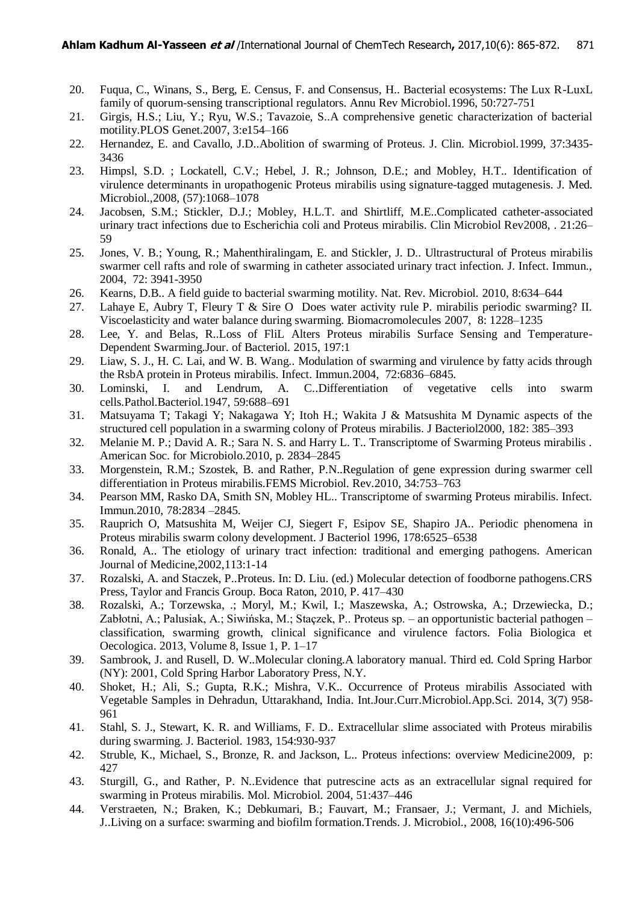- 20. Fuqua, C., Winans, S., Berg, E. Census, F. and Consensus, H.. Bacterial ecosystems: The Lux R-LuxL family of quorum-sensing transcriptional regulators. Annu Rev Microbiol.1996, 50:727-751
- 21. Girgis, H.S.; Liu, Y.; Ryu, W.S.; Tavazoie, S..A comprehensive genetic characterization of bacterial motility.PLOS Genet.2007, 3:e154–166
- 22. Hernandez, E. and Cavallo, J.D..Abolition of swarming of Proteus. J. Clin. Microbiol.1999, 37:3435- 3436
- 23. Himpsl, S.D. ; Lockatell, C.V.; Hebel, J. R.; Johnson, D.E.; and Mobley, H.T.. Identification of virulence determinants in uropathogenic Proteus mirabilis using signature-tagged mutagenesis. J. Med. Microbiol.,2008, (57):1068–1078
- 24. Jacobsen, S.M.; Stickler, D.J.; Mobley, H.L.T. and Shirtliff, M.E..Complicated catheter-associated urinary tract infections due to Escherichia coli and Proteus mirabilis. Clin Microbiol Rev2008, . 21:26– 59
- 25. Jones, V. B.; Young, R.; Mahenthiralingam, E. and Stickler, J. D.. Ultrastructural of Proteus mirabilis swarmer cell rafts and role of swarming in catheter associated urinary tract infection. J. Infect. Immun., 2004, 72: 3941-3950
- 26. Kearns, D.B.. A field guide to bacterial swarming motility. Nat. Rev. Microbiol. 2010, 8:634–644
- 27. Lahaye E, Aubry T, Fleury T & Sire O Does water activity rule P. mirabilis periodic swarming? II. Viscoelasticity and water balance during swarming. Biomacromolecules 2007, 8: 1228–1235
- 28. Lee, Y. and Belas, R..Loss of FliL Alters Proteus mirabilis Surface Sensing and Temperature-Dependent Swarming.Jour. of Bacteriol. 2015, 197:1
- 29. Liaw, S. J., H. C. Lai, and W. B. Wang.. Modulation of swarming and virulence by fatty acids through the RsbA protein in Proteus mirabilis. Infect. Immun.2004, 72:6836–6845.
- 30. Lominski, I. and Lendrum, A. C..Differentiation of vegetative cells into swarm cells.Pathol.Bacteriol.1947, 59:688–691
- 31. Matsuyama T; Takagi Y; Nakagawa Y; Itoh H.; Wakita J & Matsushita M Dynamic aspects of the structured cell population in a swarming colony of Proteus mirabilis. J Bacteriol2000, 182: 385–393
- 32. Melanie M. P.; David A. R.; Sara N. S. and Harry L. T.. Transcriptome of Swarming Proteus mirabilis . American Soc. for Microbiolo.2010, p. 2834–2845
- 33. Morgenstein, R.M.; Szostek, B. and Rather, P.N..Regulation of gene expression during swarmer cell differentiation in Proteus mirabilis.FEMS Microbiol. Rev.2010, 34:753–763
- 34. Pearson MM, Rasko DA, Smith SN, Mobley HL.. Transcriptome of swarming Proteus mirabilis. Infect. Immun.2010, 78:2834 –2845.
- 35. Rauprich O, Matsushita M, Weijer CJ, Siegert F, Esipov SE, Shapiro JA.. Periodic phenomena in Proteus mirabilis swarm colony development. J Bacteriol 1996, 178:6525–6538
- 36. Ronald, A.. The etiology of urinary tract infection: traditional and emerging pathogens. American Journal of Medicine,2002,113:1-14
- 37. Rozalski, A. and Staczek, P..Proteus. In: D. Liu. (ed.) Molecular detection of foodborne pathogens.CRS Press, Taylor and Francis Group. Boca Raton, 2010, P. 417–430
- 38. Rozalski, A.; Torzewska, .; Moryl, M.; Kwil, I.; Maszewska, A.; Ostrowska, A.; Drzewiecka, D.; Zabłotni, A.; Palusiak, A.; Siwińska, M.; Staçzek, P.. Proteus sp. – an opportunistic bacterial pathogen – classification, swarming growth, clinical significance and virulence factors. Folia Biologica et Oecologica. 2013, Volume 8, Issue 1, P. 1–17
- 39. Sambrook, J. and Rusell, D. W..Molecular cloning.A laboratory manual. Third ed. Cold Spring Harbor (NY): 2001, Cold Spring Harbor Laboratory Press, N.Y.
- 40. Shoket, H.; Ali, S.; Gupta, R.K.; Mishra, V.K.. Occurrence of Proteus mirabilis Associated with Vegetable Samples in Dehradun, Uttarakhand, India. Int.Jour.Curr.Microbiol.App.Sci. 2014, 3(7) 958- 961
- 41. Stahl, S. J., Stewart, K. R. and Williams, F. D.. Extracellular slime associated with Proteus mirabilis during swarming. J. Bacteriol. 1983, 154:930-937
- 42. Struble, K., Michael, S., Bronze, R. and Jackson, L.. Proteus infections: overview Medicine2009, p: 427
- 43. Sturgill, G., and Rather, P. N..Evidence that putrescine acts as an extracellular signal required for swarming in Proteus mirabilis. Mol. Microbiol. 2004, 51:437–446
- 44. Verstraeten, N.; Braken, K.; Debkumari, B.; Fauvart, M.; Fransaer, J.; Vermant, J. and Michiels, J..Living on a surface: swarming and biofilm formation.Trends. J. Microbiol., 2008, 16(10):496-506